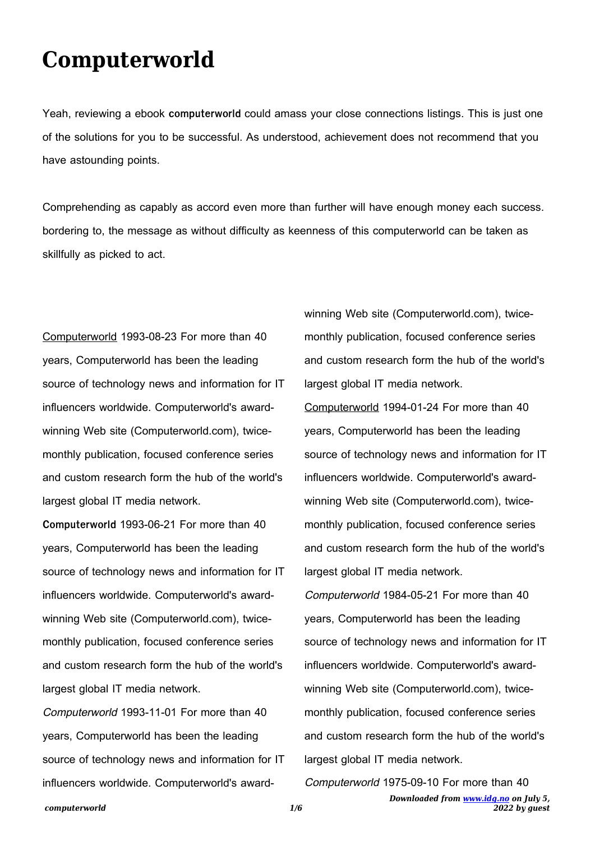## **Computerworld**

Yeah, reviewing a ebook **computerworld** could amass your close connections listings. This is just one of the solutions for you to be successful. As understood, achievement does not recommend that you have astounding points.

Comprehending as capably as accord even more than further will have enough money each success. bordering to, the message as without difficulty as keenness of this computerworld can be taken as skillfully as picked to act.

Computerworld 1993-08-23 For more than 40 years, Computerworld has been the leading source of technology news and information for IT influencers worldwide. Computerworld's awardwinning Web site (Computerworld.com), twicemonthly publication, focused conference series and custom research form the hub of the world's largest global IT media network.

**Computerworld** 1993-06-21 For more than 40 years, Computerworld has been the leading source of technology news and information for IT influencers worldwide. Computerworld's awardwinning Web site (Computerworld.com), twicemonthly publication, focused conference series and custom research form the hub of the world's largest global IT media network.

Computerworld 1993-11-01 For more than 40 years, Computerworld has been the leading source of technology news and information for IT influencers worldwide. Computerworld's awardwinning Web site (Computerworld.com), twicemonthly publication, focused conference series and custom research form the hub of the world's largest global IT media network.

Computerworld 1994-01-24 For more than 40 years, Computerworld has been the leading source of technology news and information for IT influencers worldwide. Computerworld's awardwinning Web site (Computerworld.com), twicemonthly publication, focused conference series and custom research form the hub of the world's largest global IT media network.

Computerworld 1984-05-21 For more than 40 years, Computerworld has been the leading source of technology news and information for IT influencers worldwide. Computerworld's awardwinning Web site (Computerworld.com), twicemonthly publication, focused conference series and custom research form the hub of the world's largest global IT media network.

Computerworld 1975-09-10 For more than 40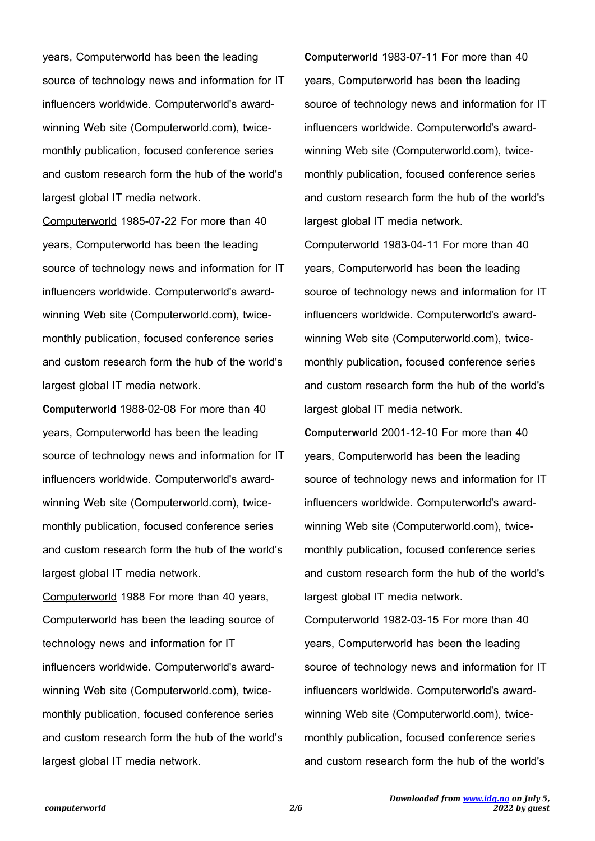years, Computerworld has been the leading source of technology news and information for IT influencers worldwide. Computerworld's awardwinning Web site (Computerworld.com), twicemonthly publication, focused conference series and custom research form the hub of the world's largest global IT media network.

Computerworld 1985-07-22 For more than 40 years, Computerworld has been the leading source of technology news and information for IT influencers worldwide. Computerworld's awardwinning Web site (Computerworld.com), twicemonthly publication, focused conference series and custom research form the hub of the world's largest global IT media network.

**Computerworld** 1988-02-08 For more than 40 years, Computerworld has been the leading source of technology news and information for IT influencers worldwide. Computerworld's awardwinning Web site (Computerworld.com), twicemonthly publication, focused conference series and custom research form the hub of the world's largest global IT media network.

Computerworld 1988 For more than 40 years, Computerworld has been the leading source of technology news and information for IT influencers worldwide. Computerworld's awardwinning Web site (Computerworld.com), twicemonthly publication, focused conference series and custom research form the hub of the world's largest global IT media network.

**Computerworld** 1983-07-11 For more than 40 years, Computerworld has been the leading source of technology news and information for IT influencers worldwide. Computerworld's awardwinning Web site (Computerworld.com), twicemonthly publication, focused conference series and custom research form the hub of the world's largest global IT media network.

Computerworld 1983-04-11 For more than 40 years, Computerworld has been the leading source of technology news and information for IT influencers worldwide. Computerworld's awardwinning Web site (Computerworld.com), twicemonthly publication, focused conference series and custom research form the hub of the world's largest global IT media network.

**Computerworld** 2001-12-10 For more than 40 years, Computerworld has been the leading source of technology news and information for IT influencers worldwide. Computerworld's awardwinning Web site (Computerworld.com), twicemonthly publication, focused conference series and custom research form the hub of the world's largest global IT media network.

Computerworld 1982-03-15 For more than 40 years, Computerworld has been the leading source of technology news and information for IT influencers worldwide. Computerworld's awardwinning Web site (Computerworld.com), twicemonthly publication, focused conference series and custom research form the hub of the world's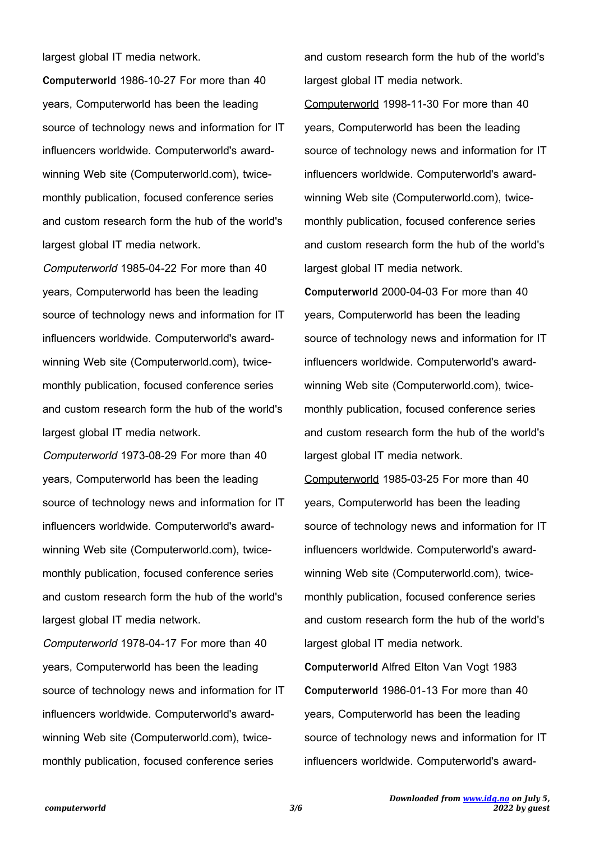largest global IT media network.

**Computerworld** 1986-10-27 For more than 40 years, Computerworld has been the leading source of technology news and information for IT influencers worldwide. Computerworld's awardwinning Web site (Computerworld.com), twicemonthly publication, focused conference series and custom research form the hub of the world's largest global IT media network.

Computerworld 1985-04-22 For more than 40 years, Computerworld has been the leading source of technology news and information for IT influencers worldwide. Computerworld's awardwinning Web site (Computerworld.com), twicemonthly publication, focused conference series and custom research form the hub of the world's largest global IT media network.

Computerworld 1973-08-29 For more than 40 years, Computerworld has been the leading source of technology news and information for IT influencers worldwide. Computerworld's awardwinning Web site (Computerworld.com), twicemonthly publication, focused conference series and custom research form the hub of the world's largest global IT media network.

Computerworld 1978-04-17 For more than 40 years, Computerworld has been the leading source of technology news and information for IT influencers worldwide. Computerworld's awardwinning Web site (Computerworld.com), twicemonthly publication, focused conference series

and custom research form the hub of the world's largest global IT media network.

Computerworld 1998-11-30 For more than 40 years, Computerworld has been the leading source of technology news and information for IT influencers worldwide. Computerworld's awardwinning Web site (Computerworld.com), twicemonthly publication, focused conference series and custom research form the hub of the world's largest global IT media network.

**Computerworld** 2000-04-03 For more than 40 years, Computerworld has been the leading source of technology news and information for IT influencers worldwide. Computerworld's awardwinning Web site (Computerworld.com), twicemonthly publication, focused conference series and custom research form the hub of the world's largest global IT media network.

Computerworld 1985-03-25 For more than 40 years, Computerworld has been the leading source of technology news and information for IT influencers worldwide. Computerworld's awardwinning Web site (Computerworld.com), twicemonthly publication, focused conference series and custom research form the hub of the world's largest global IT media network.

**Computerworld** Alfred Elton Van Vogt 1983 **Computerworld** 1986-01-13 For more than 40 years, Computerworld has been the leading source of technology news and information for IT influencers worldwide. Computerworld's award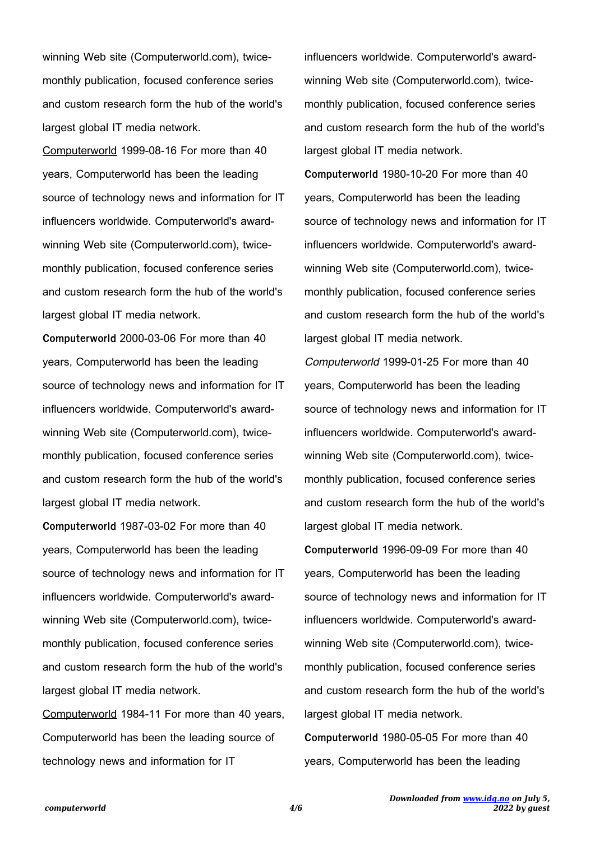winning Web site (Computerworld.com), twicemonthly publication, focused conference series and custom research form the hub of the world's largest global IT media network.

Computerworld 1999-08-16 For more than 40 years, Computerworld has been the leading source of technology news and information for IT influencers worldwide. Computerworld's awardwinning Web site (Computerworld.com), twicemonthly publication, focused conference series and custom research form the hub of the world's largest global IT media network.

**Computerworld** 2000-03-06 For more than 40 years, Computerworld has been the leading source of technology news and information for IT influencers worldwide. Computerworld's awardwinning Web site (Computerworld.com), twicemonthly publication, focused conference series and custom research form the hub of the world's largest global IT media network.

**Computerworld** 1987-03-02 For more than 40 years, Computerworld has been the leading source of technology news and information for IT influencers worldwide. Computerworld's awardwinning Web site (Computerworld.com), twicemonthly publication, focused conference series and custom research form the hub of the world's largest global IT media network.

Computerworld 1984-11 For more than 40 years, Computerworld has been the leading source of technology news and information for IT

influencers worldwide. Computerworld's awardwinning Web site (Computerworld.com), twicemonthly publication, focused conference series and custom research form the hub of the world's largest global IT media network.

**Computerworld** 1980-10-20 For more than 40 years, Computerworld has been the leading source of technology news and information for IT influencers worldwide. Computerworld's awardwinning Web site (Computerworld.com), twicemonthly publication, focused conference series and custom research form the hub of the world's largest global IT media network.

Computerworld 1999-01-25 For more than 40 years, Computerworld has been the leading source of technology news and information for IT influencers worldwide. Computerworld's awardwinning Web site (Computerworld.com), twicemonthly publication, focused conference series and custom research form the hub of the world's largest global IT media network.

**Computerworld** 1996-09-09 For more than 40 years, Computerworld has been the leading source of technology news and information for IT influencers worldwide. Computerworld's awardwinning Web site (Computerworld.com), twicemonthly publication, focused conference series and custom research form the hub of the world's largest global IT media network. **Computerworld** 1980-05-05 For more than 40 years, Computerworld has been the leading

*Downloaded from [www.idg.no](http://www.idg.no) on July 5,*

*2022 by guest*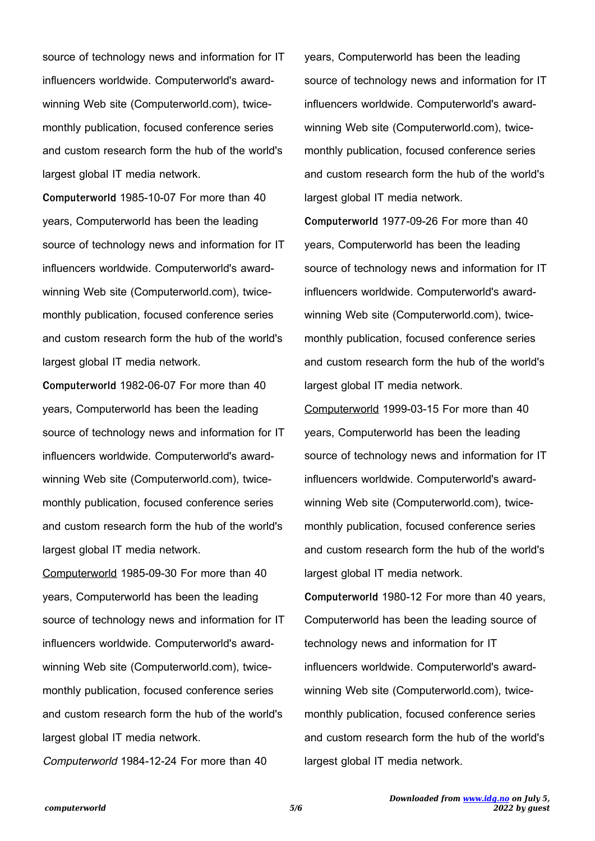source of technology news and information for IT influencers worldwide. Computerworld's awardwinning Web site (Computerworld.com), twicemonthly publication, focused conference series and custom research form the hub of the world's largest global IT media network.

**Computerworld** 1985-10-07 For more than 40 years, Computerworld has been the leading source of technology news and information for IT influencers worldwide. Computerworld's awardwinning Web site (Computerworld.com), twicemonthly publication, focused conference series and custom research form the hub of the world's largest global IT media network.

**Computerworld** 1982-06-07 For more than 40 years, Computerworld has been the leading source of technology news and information for IT influencers worldwide. Computerworld's awardwinning Web site (Computerworld.com), twicemonthly publication, focused conference series and custom research form the hub of the world's largest global IT media network.

Computerworld 1985-09-30 For more than 40 years, Computerworld has been the leading source of technology news and information for IT influencers worldwide. Computerworld's awardwinning Web site (Computerworld.com), twicemonthly publication, focused conference series and custom research form the hub of the world's largest global IT media network.

Computerworld 1984-12-24 For more than 40

years, Computerworld has been the leading source of technology news and information for IT influencers worldwide. Computerworld's awardwinning Web site (Computerworld.com), twicemonthly publication, focused conference series and custom research form the hub of the world's largest global IT media network.

**Computerworld** 1977-09-26 For more than 40 years, Computerworld has been the leading source of technology news and information for IT influencers worldwide. Computerworld's awardwinning Web site (Computerworld.com), twicemonthly publication, focused conference series and custom research form the hub of the world's largest global IT media network.

Computerworld 1999-03-15 For more than 40 years, Computerworld has been the leading source of technology news and information for IT influencers worldwide. Computerworld's awardwinning Web site (Computerworld.com), twicemonthly publication, focused conference series and custom research form the hub of the world's largest global IT media network.

**Computerworld** 1980-12 For more than 40 years, Computerworld has been the leading source of technology news and information for IT influencers worldwide. Computerworld's awardwinning Web site (Computerworld.com), twicemonthly publication, focused conference series and custom research form the hub of the world's largest global IT media network.